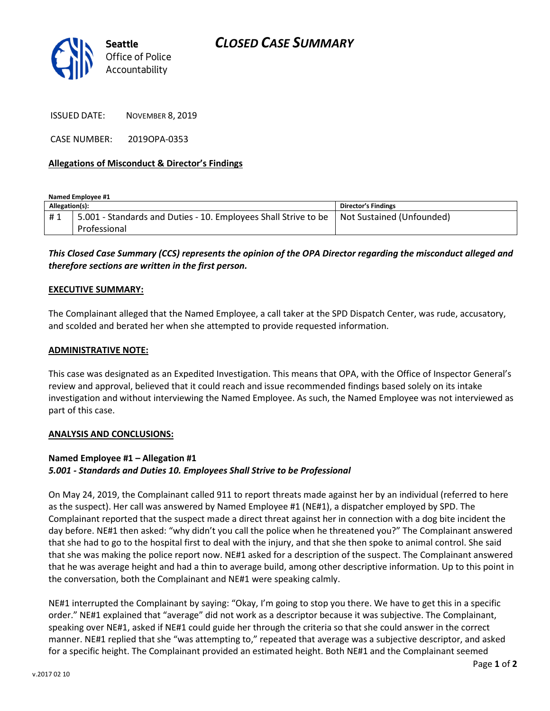

ISSUED DATE: NOVEMBER 8, 2019

CASE NUMBER: 2019OPA-0353

#### Allegations of Misconduct & Director's Findings

Named Employee #1

| Allegation(s): |                                                                                                             | <b>Director's Findings</b> |
|----------------|-------------------------------------------------------------------------------------------------------------|----------------------------|
| #1             | 5.001 - Standards and Duties - 10. Employees Shall Strive to be   Not Sustained (Unfounded)<br>Professional |                            |
|                |                                                                                                             |                            |

## This Closed Case Summary (CCS) represents the opinion of the OPA Director regarding the misconduct alleged and therefore sections are written in the first person.

#### EXECUTIVE SUMMARY:

The Complainant alleged that the Named Employee, a call taker at the SPD Dispatch Center, was rude, accusatory, and scolded and berated her when she attempted to provide requested information.

#### ADMINISTRATIVE NOTE:

This case was designated as an Expedited Investigation. This means that OPA, with the Office of Inspector General's review and approval, believed that it could reach and issue recommended findings based solely on its intake investigation and without interviewing the Named Employee. As such, the Named Employee was not interviewed as part of this case.

#### ANALYSIS AND CONCLUSIONS:

### Named Employee #1 – Allegation #1 5.001 - Standards and Duties 10. Employees Shall Strive to be Professional

On May 24, 2019, the Complainant called 911 to report threats made against her by an individual (referred to here as the suspect). Her call was answered by Named Employee #1 (NE#1), a dispatcher employed by SPD. The Complainant reported that the suspect made a direct threat against her in connection with a dog bite incident the day before. NE#1 then asked: "why didn't you call the police when he threatened you?" The Complainant answered that she had to go to the hospital first to deal with the injury, and that she then spoke to animal control. She said that she was making the police report now. NE#1 asked for a description of the suspect. The Complainant answered that he was average height and had a thin to average build, among other descriptive information. Up to this point in the conversation, both the Complainant and NE#1 were speaking calmly.

NE#1 interrupted the Complainant by saying: "Okay, I'm going to stop you there. We have to get this in a specific order." NE#1 explained that "average" did not work as a descriptor because it was subjective. The Complainant, speaking over NE#1, asked if NE#1 could guide her through the criteria so that she could answer in the correct manner. NE#1 replied that she "was attempting to," repeated that average was a subjective descriptor, and asked for a specific height. The Complainant provided an estimated height. Both NE#1 and the Complainant seemed